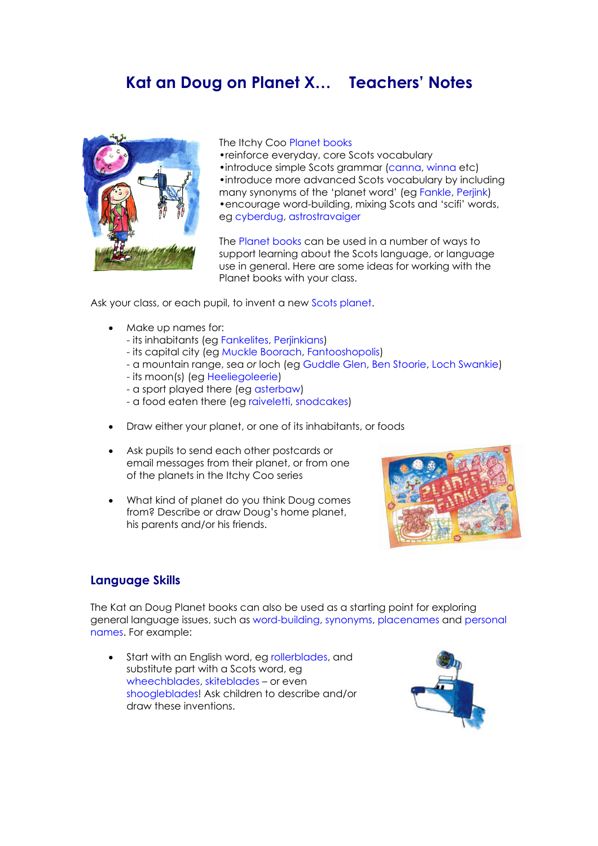# **Kat an Doug on Planet X… Teachers' Notes**



The Itchy Coo Planet books

•reinforce everyday, core Scots vocabulary •introduce simple Scots grammar (canna, winna etc) •introduce more advanced Scots vocabulary by including many synonyms of the 'planet word' (eg Fankle, Perjink) •encourage word-building, mixing Scots and 'scifi' words, eg cyberdug, astrostravaiger

The Planet books can be used in a number of ways to support learning about the Scots language, or language use in general. Here are some ideas for working with the Planet books with your class.

Ask your class, or each pupil, to invent a new Scots planet.

- Make up names for:
	- its inhabitants (eg Fankelites, Perjinkians)
	- its capital city (eg Muckle Boorach, Fantooshopolis)
	- a mountain range, sea *or* loch (eg Guddle Glen, Ben Stoorie, Loch Swankie)
	- its moon(s) (eg Heeliegoleerie)
	- a sport played there (eg asterbaw)
	- a food eaten there (eg raiveletti, snodcakes)
- Draw either your planet, or one of its inhabitants, or foods
- Ask pupils to send each other postcards or email messages from their planet, or from one of the planets in the Itchy Coo series
- What kind of planet do you think Doug comes from? Describe or draw Doug's home planet, his parents and/or his friends.



## **Language Skills**

The Kat an Doug Planet books can also be used as a starting point for exploring general language issues, such as word-building, synonyms, placenames and personal names. For example:

Start with an English word, eg rollerblades, and substitute part with a Scots word, eg wheechblades, skiteblades – or even shoogleblades! Ask children to describe and/or draw these inventions.

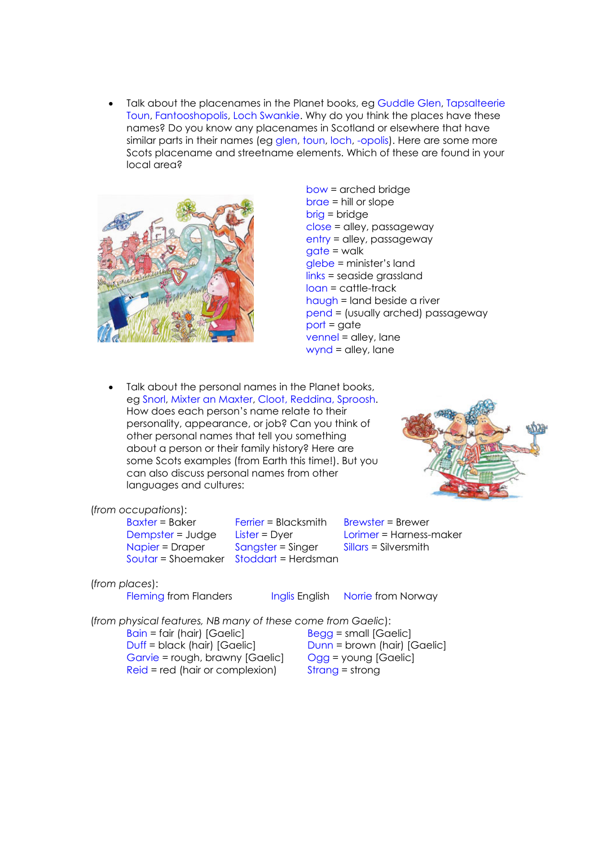• Talk about the placenames in the Planet books, eg Guddle Glen, Tapsalteerie Toun, Fantooshopolis, Loch Swankie. Why do you think the places have these names? Do you know any placenames in Scotland or elsewhere that have similar parts in their names (eg glen, toun, loch, -opolis). Here are some more Scots placename and streetname elements. Which of these are found in your local area?



- bow = arched bridge brae = hill or slope brig = bridge close = alley, passageway entry = alley, passageway  $\alpha$ date = walk glebe = minister's land links = seaside grassland loan = cattle-track haugh = land beside a river pend = (usually arched) passageway  $port = gate$ vennel = alley, lane wynd = alley, lane
- Talk about the personal names in the Planet books, eg Snorl, Mixter an Maxter, Cloot, Reddina, Sproosh. How does each person's name relate to their personality, appearance, or job? Can you think of other personal names that tell you something about a person or their family history? Here are some Scots examples (from Earth this time!). But you can also discuss personal names from other languages and cultures:



#### (*from occupations*):

 $B\alpha x$ ter = Baker Ferrier = Blacksmith Brewster = Brewer Dempster = Judge Lister = Dyer Lorimer = Harness-maker Napier = Draper Sangster = Singer Sillars = Silversmith Soutar = Shoemaker Stoddart = Herdsman

### (*from places*):

Fleming from Flanders Inglis English Norrie from Norway

(*from physical features, NB many of these come from Gaelic*):

 $Bain = fair (hair) [Gaelic]$   $Bega = small [Gaelic]$ Duff = black (hair) [Gaelic] Dunn = brown (hair) [Gaelic] Garvie = rough, brawny [Gaelic] Ogg = young [Gaelic]  $Reid = red$  (hair or complexion) Strang = strong